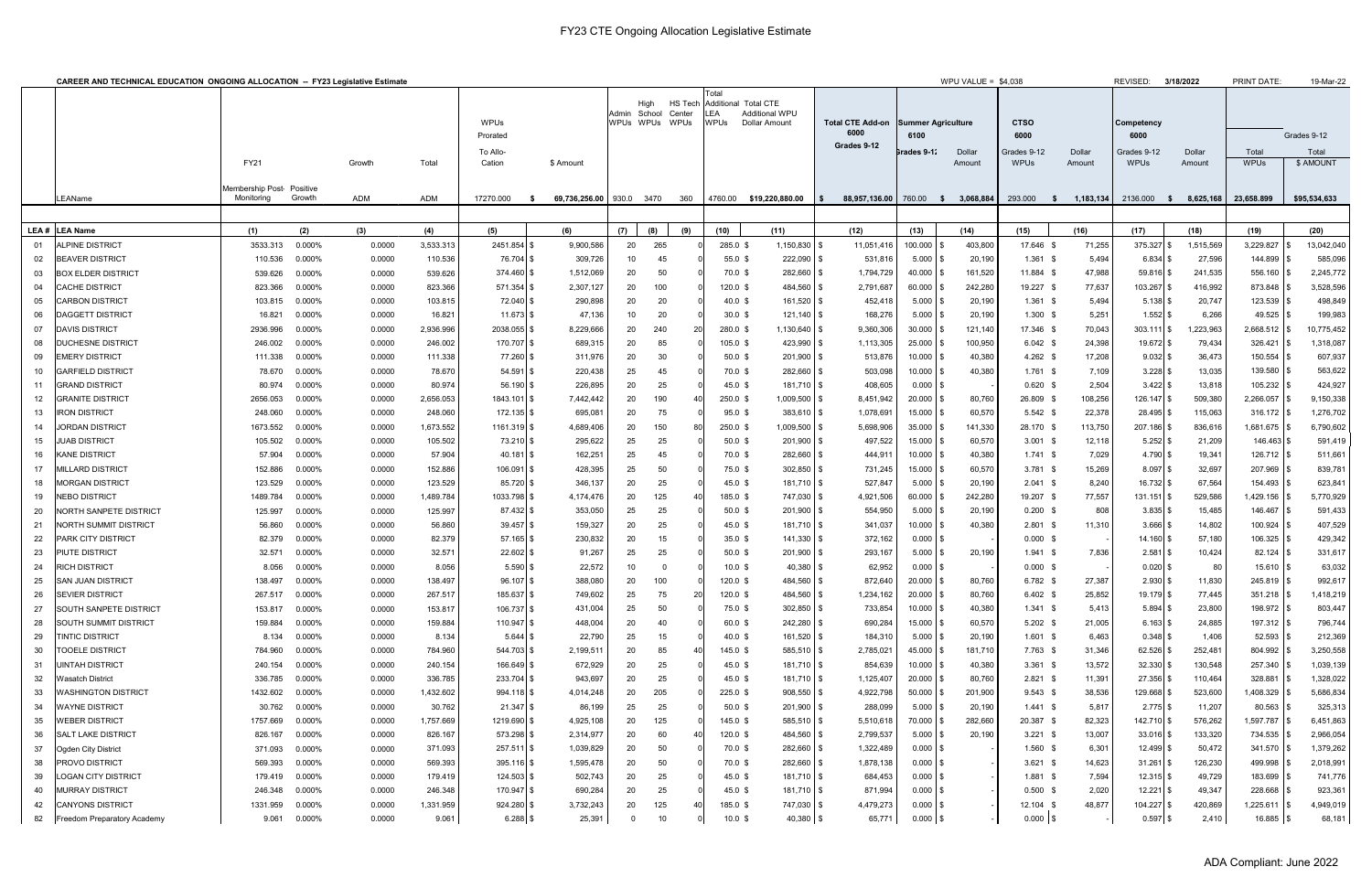|          | <b>CAREER AND TECHNICAL EDUCATION ONGOING ALLOCATION -- FY23 Legislative Estimate</b> |                                         |                  |                  |                         |                          |                          |                        |                          |                                                                                               |                      |                                                |                                   | WPU VALUE = $$4,038$      |                     |                            |                    | REVISED:<br>3/18/2022      |                                  | <b>PRINT DATE:</b>          | 19-Mar-22            |
|----------|---------------------------------------------------------------------------------------|-----------------------------------------|------------------|------------------|-------------------------|--------------------------|--------------------------|------------------------|--------------------------|-----------------------------------------------------------------------------------------------|----------------------|------------------------------------------------|-----------------------------------|---------------------------|---------------------|----------------------------|--------------------|----------------------------|----------------------------------|-----------------------------|----------------------|
|          |                                                                                       |                                         |                  |                  | <b>WPUs</b><br>Prorated |                          | Admin School             | High<br>WPUs WPUs WPUs | <b>HS Tech</b><br>Center | Total<br>Additional Total CTE<br>LEA<br><b>Additional WPU</b><br>WPUs<br><b>Dollar Amount</b> |                      | <b>Total CTE Add-on</b><br>6000<br>Grades 9-12 | <b>Summer Agriculture</b><br>6100 |                           | <b>CTSO</b><br>6000 |                            | Competency<br>6000 |                            |                                  | Grades 9-12                 |                      |
|          |                                                                                       | <b>FY21</b>                             |                  | Growth           | Total                   | To Allo-<br>Cation       | \$ Amount                |                        |                          |                                                                                               |                      |                                                |                                   | Grades 9-1∶               | Dollar<br>Amount    | Grades 9-12<br><b>WPUs</b> | Dollar<br>Amount   | Grades 9-12<br><b>WPUs</b> | Dollar<br>Amount                 | Total<br><b>WPUs</b>        | Total<br>\$ AMOUNT   |
|          | LEAName                                                                               | Membership Post- Positive<br>Monitorina | Growth           | ADM              | <b>ADM</b>              | 17270.000<br>- 5         | 69,736,256.00 930.0 3470 |                        |                          | 360                                                                                           |                      | 4760.00 \$19,220,880.00                        | 88,957,136.00 760.00 \$ 3,068,884 |                           |                     | 293.000<br>- 5             | 1,183,134          |                            | 2136.000 \$ 8,625,168 23,658.899 |                             | \$95,534,633         |
|          |                                                                                       |                                         |                  |                  |                         |                          |                          |                        |                          |                                                                                               |                      |                                                |                                   |                           |                     |                            |                    |                            |                                  |                             |                      |
|          | LEA # LEA Name                                                                        | (1)                                     | (2)              | (3)              | (4)                     | (5)                      | (6)                      | (7)                    | (8)                      | (9)                                                                                           | (10)                 | (11)                                           | (12)                              | (13)                      | (14)                | (15)                       | (16)               | (17)                       | (18)                             | (19)                        | (20)                 |
| 01       | <b>ALPINE DISTRICT</b>                                                                | 3533.313                                | 0.000%           | 0.0000           | 3,533.313               | 2451.854 \$              | 9,900,586                | 20                     | 265                      |                                                                                               | 285.0 \$             | $1,150,830$ \$                                 | 11,051,416                        | $100.000$ \$              | 403,800             | 17.646 \$                  | 71,255             | 375.327 \$                 | 1,515,569                        | 3,229.827                   | 13,042,040           |
| 02<br>03 | <b>BEAVER DISTRICT</b><br><b>BOX ELDER DISTRICT</b>                                   | 110.536<br>539.626                      | 0.000%<br>0.000% | 0.0000<br>0.0000 | 110.536<br>539.626      | 76.704 \$                | 309,726                  | 10<br>20               | 45<br>50                 |                                                                                               | $55.0$ \$<br>70.0 \$ | $222,090$ \$                                   | 531,816<br>1,794,729              | $5.000$ \ \$<br>40.000 \$ | 20,190<br>161,520   | $1.361$ \$<br>11.884 \$    | 5,494<br>47,988    | $6.834$ \$<br>59.816 \$    | 27,596<br>241,535                | 144.899 \$                  | 585,096<br>2,245,772 |
| 04       | CACHE DISTRICT                                                                        | 823.366                                 | 0.000%           |                  | 823.366                 | 374.460 \$<br>571.354 \$ | 1,512,069<br>2,307,127   | 20                     | 100                      |                                                                                               | $120.0$ \$           | 282,660 \$<br>484,560 \$                       | 2,791,687                         | $60.000$ \$               | 242,280             | 19.227 \$                  | 77,637             | 103.267 \$                 | 416,992                          | $556.160$ \\$<br>873.848 \$ | 3,528,596            |
| 05       | <b>CARBON DISTRICT</b>                                                                | 103.815                                 | 0.000%           | 0.0000<br>0.0000 | 103.815                 | 72.040 \$                | 290,898                  | 20                     | 20                       |                                                                                               | $40.0 \text{ }$ \$   | 161,520 \$                                     | 452,418                           | $5.000$ \$                | 20,190              | $1.361$ \$                 | 5,494              | $5.138$ \$                 | 20,747                           | 123.539 \$                  | 498,849              |
| 06       | <b>DAGGETT DISTRICT</b>                                                               | 16.821                                  | 0.000%           | 0.0000           | 16.821                  | $11.673$ \$              | 47,136                   | 10                     | 20                       |                                                                                               | $30.0 \text{ }$ \$   | $121,140$ \\$                                  | 168,276                           | $5.000$ \$                | 20,190              | $1.300$ \$                 | 5,251              | $1.552$ \$                 | 6,266                            | $49.525$ \$                 | 199,983              |
| 07       | <b>DAVIS DISTRICT</b>                                                                 | 2936.996                                | 0.000%           | 0.0000           | 2,936.996               | 2038.055 \$              | 8,229,666                | 20                     | 240                      |                                                                                               | 280.0 \$             | 1,130,640 \$                                   | 9,360,306                         | $30.000$ \$               | 121,140             | 17.346 \$                  | 70,043             | $303.111$ \$               | 1,223,963                        | $2,668.512$ \$              | 10,775,452           |
| 08       | <b>DUCHESNE DISTRICT</b>                                                              | 246.002                                 | 0.000%           | 0.0000           | 246.002                 | 170.707 \$               | 689,315                  | 20                     | 85                       |                                                                                               | $105.0$ \$           | 423,990 \$                                     | 1,113,305                         | 25.000 \$                 | 100,950             | $6.042$ \$                 | 24,398             | 19.672 \$                  | 79,434                           | 326.421                     | 1,318,087            |
| 09       | EMERY DISTRICT                                                                        | 111.338                                 | 0.000%           | 0.0000           | 111.338                 | 77.260 \$                | 311,976                  | 20                     | 30                       |                                                                                               | $50.0 \text{ }$ \$   | 201,900 \$                                     | 513,876                           | $10.000$ \$               | 40,380              | $4.262$ \$                 | 17,208             | $9.032$ \$                 | 36,473                           | 150.554                     | 607,937              |
| 10       | GARFIELD DISTRICT                                                                     | 78.670                                  | 0.000%           | 0.0000           | 78.670                  | $54.591$ \$              | 220,438                  | 25                     | 45                       |                                                                                               | 70.0 \$              | 282,660 \$                                     | 503,098                           | $10.000$ \$               | 40,380              | $1.761$ \$                 | 7,109              | $3.228$ \$                 | 13,035                           | 139.580                     | 563,622              |
| 11       | GRAND DISTRICT                                                                        | 80.974                                  | 0.000%           | 0.0000           | 80.974                  | $56.190$ \$              | 226,895                  | 20                     | 25                       |                                                                                               | 45.0~\$              | 181,710 \$                                     | 408,605                           | $0.000$ \\$               |                     | $0.620$ \$                 | 2,504              | $3.422$ \$                 | 13,818                           | $105.232$ \$                | 424,927              |
| 12       | GRANITE DISTRICT                                                                      | 2656.053                                | 0.000%           | 0.0000           | 2,656.053               | 1843.101 \$              | 7,442,442                | 20                     | 190                      |                                                                                               | $250.0$ \$           | 1,009,500 \$                                   | 8,451,942                         | $20.000$ \$               | 80,760              | 26.809 \$                  | 108,256            | $126.147$ \$               | 509,380                          | 2,266.057                   | 9,150,338            |
| 13       | <b>IRON DISTRICT</b>                                                                  | 248.060                                 | 0.000%           | 0.0000           | 248.060                 | 172.135 \$               | 695,081                  | 20                     | 75                       |                                                                                               | $95.0 \text{ }$ \$   | $383,610$ \$                                   | 1,078,691                         | $15.000$ \ \$             | 60,570              | $5.542$ \$                 | 22,378             | 28.495 \$                  | 115,063                          | $316.172$ \$                | 1,276,702            |
| 14       | <b>JORDAN DISTRICT</b>                                                                | 1673.552                                | 0.000%           | 0.0000           | 1,673.552               | $1161.319$ \$            | 4,689,406                | 20                     | 150                      |                                                                                               | $250.0 \text{ }$ \$  | 1,009,500 \$                                   | 5,698,906                         | $35.000$ \\$              | 141,330             | 28.170 \$                  | 113,750            | 207.186 \$                 | 836,616                          | $1,681.675$ \\$             | 6,790,602            |
| 15       | JUAB DISTRICT                                                                         | 105.502                                 | 0.000%           | 0.0000           | 105.502                 | $73.210$ \$              | 295,622                  | 25                     | 25                       |                                                                                               | $50.0 \text{ }$ \$   | $201,900$ \$                                   | 497,522                           | 15.000 \$                 | 60,570              | $3.001$ \$                 | 12,118             | $5.252$ \$                 | 21,209                           | 146.463 \$                  | 591,419              |
| 16       | <b>KANE DISTRICT</b>                                                                  | 57.904                                  | 0.000%           | 0.0000           | 57.904                  | $40.181$ \$              | 162,251                  | 25                     | 45                       |                                                                                               | 70.0 \$              | 282,660 \$                                     | 444,911                           | $10.000$ \$               | 40,380              | $1.741$ \$                 | 7,029              | $4.790$ \$                 | 19,341                           | $126.712$ \$                | 511,661              |
| 17       | <b>MILLARD DISTRICT</b>                                                               | 152.886                                 | 0.000%           | 0.0000           | 152.886                 | $106.091$ \$             | 428,395                  | 25                     | 50                       |                                                                                               | 75.0 \$              | $302,850$ \$                                   | 731,245                           | 15.000 \$                 | 60,570              | $3.781$ \$                 | 15,269             | $8.097$ \$                 | 32,697                           | 207.969 \$                  | 839,781              |
| 18       | <b>MORGAN DISTRICT</b>                                                                | 123.529                                 | 0.000%           | 0.0000           | 123.529                 | 85.720 \$                | 346,137                  | 20                     | 25                       |                                                                                               | $45.0 \text{ }$ \$   | $181,710$ \$                                   | 527,847                           | $5.000$ \$                | 20,190              | $2.041$ \$                 | 8,240              | $16.732$ \$                | 67,564                           | 154.493 \$                  | 623,841              |
| 19       | NEBO DISTRICT                                                                         | 1489.784                                | 0.000%           | 0.0000           | 1,489.784               | 1033.798 \$              | 4,174,476                | 20                     | 125                      |                                                                                               | 185.0 \$             | 747,030 \$                                     | 4,921,506                         | $60.000$ \$               | 242,280             | 19.207 \$                  | 77,557             | $131.151$ \$               | 529,586                          | $1,429.156$ \\$             | 5,770,929            |
| -20      | NORTH SANPETE DISTRICT                                                                | 125.997                                 | 0.000%           | 0.0000           | 125.997                 | $87.432$ \$              | 353,050                  | 25                     | 25                       |                                                                                               | $50.0 \text{ }$ \$   | $201,900$ \$                                   | 554,950                           | $5.000$ \\$               | 20,190              | $0.200$ \$                 | 808                | $3.835$ \$                 | 15,485                           | 146.467                     | 591,433              |
| 21       | NORTH SUMMIT DISTRICT                                                                 | 56.860                                  | 0.000%           | 0.0000           | 56.860                  | $39.457$ \$              | 159,327                  | 20                     | 25                       |                                                                                               | $45.0 \text{ }$ \$   | $181,710$ \$                                   | 341,037                           | $10.000$ \$               | 40,380              | $2.801$ \$                 | 11,310             | $3.666$ \$                 | 14,802                           | 100.924                     | 407,529              |
| 22       | <b>PARK CITY DISTRICT</b>                                                             | 82.379                                  | 0.000%           | 0.0000           | 82.379                  | $57.165$ \$              | 230,832                  | 20                     | 15                       |                                                                                               | $35.0 \text{ }$ \$   | 141,330 \$                                     | 372,162                           | $0.000$ \\$               |                     | $0.000$ \$                 |                    | $14.160$ \$                | 57,180                           | 106.325 \$                  | 429,342              |
| 23       | PIUTE DISTRICT                                                                        | 32.571                                  | 0.000%           | 0.0000           | 32.571                  | $22.602$ \$              | 91,267                   | 25                     | 25                       |                                                                                               | $50.0 \text{ }$ \$   | 201,900 \$                                     | 293,167                           | $5.000$   \$              | 20,190              | $1.941$ \$                 | 7,836              | $2.581$ \$                 | 10,424                           | $82.124$ \\$                | 331,617              |
| 24       | <b>RICH DISTRICT</b>                                                                  | 8.056                                   | 0.000%           | 0.0000           | 8.056                   | $5.590$ \$               | 22,572                   | 10                     |                          |                                                                                               | $10.0 \text{ }$ \$   | $40,380$ \$                                    | 62,952                            | $0.000$ \$                |                     | $0.000$ \$                 |                    | $0.020$ \$                 | 80                               | $15.610$ \\$                | 63,032               |
| 25       | <b>SAN JUAN DISTRICT</b>                                                              | 138.497                                 | 0.000%           | 0.0000           | 138.497                 | $96.107$ \$              | 388,080                  | 20                     | 100                      |                                                                                               | $120.0$ \$           | 484,560 \$                                     | 872,640                           | $20.000$ \$               | 80,760              | $6.782$ \$                 | 27,387             | $2.930$ \$                 | 11,830                           | $245.819$ \$                | 992,617              |
| 26       | <b>SEVIER DISTRICT</b>                                                                | 267.517                                 | 0.000%           | 0.0000           | 267.517                 | 185.637 \$               | 749,602                  | 25                     | 75                       |                                                                                               | $120.0$ \$           | 484,560 \$                                     | 1,234,162                         | $20.000$ \$               | 80,760              | $6.402$ \$                 | 25,852             | $19.179$ \$                | 77,445                           | $351.218$ \$                | 1,418,219            |
| 27       | <b>SOUTH SANPETE DISTRICT</b>                                                         | 153.817                                 | 0.000%           | 0.0000           | 153.817                 | $106.737$ \$             | 431,004                  | 25                     | 50                       |                                                                                               | 75.0 \$              | $302,850$ \$                                   | 733,854                           | $10.000$ \$               | 40,380              | $1.341$ \$                 | 5,413              | $5.894$ \$                 | 23,800                           | 198.972 \$                  | 803,447              |
| 28       | SOUTH SUMMIT DISTRICT                                                                 | 159.884                                 | 0.000%           | 0.0000           | 159.884                 | $110.947$ \$             | 448,004                  | 20                     | 40                       |                                                                                               | 60.0 \$              | 242,280 \$                                     | 690,284                           | $15.000$ \\$              | 60,570              | $5.202$ \$                 | 21,005             | $6.163$ \$                 | 24,885                           | $197.312$ \$                | 796,744              |
| 29       | TINTIC DISTRICT                                                                       | 8.134                                   | $0.000\%$        | 0.0000           | 8.134                   | $5.644$ \$               | 22,790                   | 25                     | 15                       |                                                                                               | $40.0 \text{ } $$    | 161,520 \$                                     | 184,310                           | $5.000$ \ \$              | 20,190              | $1.601$ \$                 | 6,463              | $0.348$ \$                 | 1,406                            | $52.593$ \$                 | 212,369              |
| 30       | TOOELE DISTRICT                                                                       | 784.960                                 | 0.000%           | 0.0000           | 784.960                 | 544.703 \$               | 2,199,511                | 20                     | 85                       | 40                                                                                            | $145.0$ \$           | 585,510 \$                                     | 2,785,021                         | $45.000$ \$               | 181,710             | 7.763 \$                   | 31,346             | $62.526$ \$                | 252,481                          | $804.992$ \$                | 3,250,558            |
| -31      | UINTAH DISTRICT                                                                       | 240.154                                 | 0.000%           | 0.0000           | 240.154                 | $166.649$ \$             | 672,929                  | 20                     | 25                       |                                                                                               | 45.0 \$              | $181,710$ \$                                   | 854,639                           | $10.000$ \$               | 40,380              | $3.361$ \$                 | 13,572             | $32.330$ \$                | 130,548                          | 257.340 \$                  | 1,039,139            |
| 32       | Wasatch District                                                                      | 336.785                                 | 0.000%           | 0.0000           | 336.785                 | 233.704 \$               | 943,697                  | 20                     | 25                       |                                                                                               | 45.0 \$              | 181,710 \$                                     | 1,125,407                         | $20.000$ \$               | 80,760              | $2.821$ \$                 | 11,391             | $27.356$ \$                | 110,464                          | 328.881                     | 1,328,022            |
| 33       | WASHINGTON DISTRICT                                                                   | 1432.602                                | 0.000%           | 0.0000           | 1,432.602               | 994.118 \$               | 4,014,248                | 20                     | 205                      |                                                                                               | $225.0$ \$           | $908,550$ \$                                   | 4,922,798                         | $50.000$ \$               | 201,900             | $9.543$ \$                 | 38,536             | 129.668 \$                 | 523,600                          | $1,408.329$ \$              | 5,686,834            |
| -34      | WAYNE DISTRICT                                                                        | 30.762                                  | 0.000%           | 0.0000           | 30.762                  | $21.347$ \$              | 86,199                   | 25                     | 25                       |                                                                                               | $50.0 \text{ }$ \$   | $201,900$ \$                                   | 288,099                           | $5.000$ \\$               | 20,190              | $1.441$ \$                 | 5,817              | $2.775$ \$                 | 11,207                           | 80.563 \$                   | 325,313              |
| 35       | WEBER DISTRICT                                                                        | 1757.669                                | 0.000%           | 0.0000           | 1,757.669               | 1219.690 \$              | 4,925,108                | 20                     | 125                      |                                                                                               | $145.0$ \$           | 585,510 \$                                     | 5,510,618                         | 70.000 \$                 | 282,660             | 20.387 \$                  | 82,323             | 142.710 \$                 | 576,262                          | $1,597.787$ \$              | 6,451,863            |
| 36       | <b>SALT LAKE DISTRICT</b>                                                             | 826.167                                 | 0.000%           | 0.0000           | 826.167                 | 573.298 \$               | 2,314,977                | 20                     | 60                       |                                                                                               | $120.0$ \$           | 484,560 \$                                     | 2,799,537                         | $5.000$ \ \$              | 20,190              | $3.221$ \$                 | 13,007             | $33.016$ \$                | 133,320                          | 734.535 \$                  | 2,966,054            |
| 37       | Ogden City District                                                                   | 371.093                                 | 0.000%           | 0.0000           | 371.093                 | 257.511 \$               | 1,039,829                | 20                     | 50                       |                                                                                               | 70.0 \$              | 282,660 \$                                     | 1,322,489                         | $0.000$   \$              |                     | $1.560$ \$                 | 6,301              | $12.499$ \$                | 50,472                           | 341.570 \$                  | 1,379,262            |
| 38       | <b>PROVO DISTRICT</b>                                                                 | 569.393                                 | 0.000%           | 0.0000           | 569.393                 | $395.116$ \$             | 1,595,478                | 20                     | 50                       |                                                                                               | 70.0 \$              | 282,660 \$                                     | 1,878,138                         | $0.000$   \$              |                     | $3.621$ \$                 | 14,623             | $31.261$ \$                | 126,230                          | 499.998 \$                  | 2,018,991            |
| 39       | LOGAN CITY DISTRICT                                                                   | 179.419                                 | 0.000%           | 0.0000           | 179.419                 | 124.503 \$               | 502,743                  | 20                     | 25                       |                                                                                               | 45.0 \$              | $181,710$ \$                                   | 684,453                           | $0.000$   \$              |                     | $1.881$ \$                 | 7,594              | $12.315$ \$                | 49,729                           | 183.699 \$                  | 741,776              |
| 40       | <b>MURRAY DISTRICT</b>                                                                | 246.348                                 | $0.000\%$        | 0.0000           | 246.348                 | 170.947 \$               | 690,284                  | 20                     | 25                       |                                                                                               | 45.0 \$              | 181,710 \$                                     | 871,994                           | $0.000$   \$              |                     | $0.500$ \$                 | 2,020              | $12.221$ \$                | 49,347                           | $228.668$ \ \$              | 923,361              |
| 42       | CANYONS DISTRICT                                                                      | 1331.959                                | $0.000\%$        | 0.0000           | 1,331.959               | 924.280 \$               | 3,732,243                | 20                     | 125                      | 40                                                                                            | 185.0 \$             | 747,030 \$                                     | 4,479,273                         | $0.000$ \$                |                     | $12.104$ \$                | 48,877             | 104.227 \$                 | 420,869                          | $1,225.611$ \$              | 4,949,019            |
|          | 82 Freedom Preparatory Academy                                                        |                                         | 9.061 0.000%     | 0.0000           | 9.061                   | $6.288$ \$               | 25,391                   | $\mathbf 0$            | 10                       |                                                                                               | 10.0~\$              | 40,380 \$                                      | 65,771                            | $0.000$ \$                |                     | $0.000$ \$                 |                    | $0.597$ \$                 | 2,410                            | $16.885$ \$                 | 68,181               |